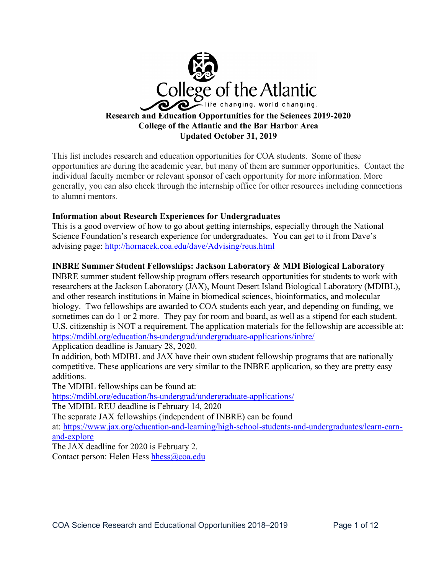

This list includes research and education opportunities for COA students. Some of these opportunities are during the academic year, but many of them are summer opportunities. Contact the individual faculty member or relevant sponsor of each opportunity for more information. More generally, you can also check through the internship office for other resources including connections to alumni mentors*.*

### **Information about Research Experiences for Undergraduates**

This is a good overview of how to go about getting internships, especially through the National Science Foundation's research experience for undergraduates. You can get to it from Dave's advising page: http://hornacek.coa.edu/dave/Advising/reus.html

#### **INBRE Summer Student Fellowships: Jackson Laboratory & MDI Biological Laboratory**

INBRE summer student fellowship program offers research opportunities for students to work with researchers at the Jackson Laboratory (JAX), Mount Desert Island Biological Laboratory (MDIBL), and other research institutions in Maine in biomedical sciences, bioinformatics, and molecular biology. Two fellowships are awarded to COA students each year, and depending on funding, we sometimes can do 1 or 2 more. They pay for room and board, as well as a stipend for each student. U.S. citizenship is NOT a requirement. The application materials for the fellowship are accessible at: https://mdibl.org/education/hs-undergrad/undergraduate-applications/inbre/

Application deadline is January 28, 2020.

In addition, both MDIBL and JAX have their own student fellowship programs that are nationally competitive. These applications are very similar to the INBRE application, so they are pretty easy additions.

The MDIBL fellowships can be found at:

https://mdibl.org/education/hs-undergrad/undergraduate-applications/

The MDIBL REU deadline is February 14, 2020

The separate JAX fellowships (independent of INBRE) can be found

at: https://www.jax.org/education-and-learning/high-school-students-and-undergraduates/learn-earnand-explore

The JAX deadline for 2020 is February 2.

Contact person: Helen Hess hhess@coa.edu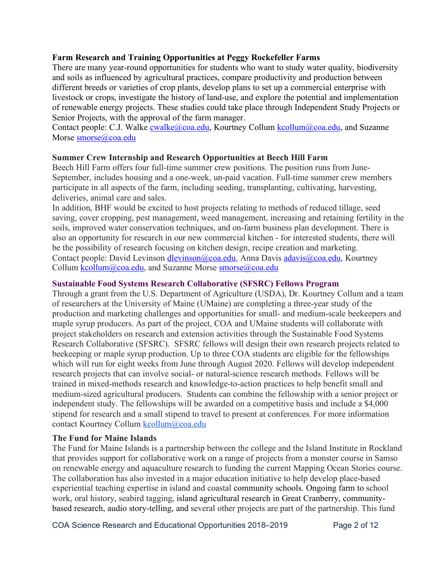### **Farm Research and Training Opportunities at Peggy Rockefeller Farms**

There are many year-round opportunities for students who want to study water quality, biodiversity and soils as influenced by agricultural practices, compare productivity and production between different breeds or varieties of crop plants, develop plans to set up a commercial enterprise with livestock or crops, investigate the history of land-use, and explore the potential and implementation of renewable energy projects. These studies could take place through Independent Study Projects or Senior Projects, with the approval of the farm manager.

Contact people: C.J. Walke cwalke@coa.edu, Kourtney Collum kcollum@coa.edu, and Suzanne Morse smorse@coa.edu

### **Summer Crew Internship and Research Opportunities at Beech Hill Farm**

Beech Hill Farm offers four full-time summer crew positions. The position runs from June-September, includes housing and a one-week, un-paid vacation. Full-time summer crew members participate in all aspects of the farm, including seeding, transplanting, cultivating, harvesting, deliveries, animal care and sales.

In addition, BHF would be excited to host projects relating to methods of reduced tillage, seed saving, cover cropping, pest management, weed management, increasing and retaining fertility in the soils, improved water conservation techniques, and on-farm business plan development. There is also an opportunity for research in our new commercial kitchen - for interested students, there will be the possibility of research focusing on kitchen design, recipe creation and marketing. Contact people: David Levinson dlevinson@coa.edu, Anna Davis adavis@coa.edu, Kourtney Collum kcollum@coa.edu, and Suzanne Morse smorse@coa.edu

### **Sustainable Food Systems Research Collaborative (SFSRC) Fellows Program**

Through a grant from the U.S. Department of Agriculture (USDA), Dr. Kourtney Collum and a team of researchers at the University of Maine (UMaine) are completing a three-year study of the production and marketing challenges and opportunities for small- and medium-scale beekeepers and maple syrup producers. As part of the project, COA and UMaine students will collaborate with project stakeholders on research and extension activities through the Sustainable Food Systems Research Collaborative (SFSRC). SFSRC fellows will design their own research projects related to beekeeping or maple syrup production. Up to three COA students are eligible for the fellowships which will run for eight weeks from June through August 2020. Fellows will develop independent research projects that can involve social- or natural-science research methods. Fellows will be trained in mixed-methods research and knowledge-to-action practices to help benefit small and medium-sized agricultural producers. Students can combine the fellowship with a senior project or independent study. The fellowships will be awarded on a competitive basis and include a \$4,000 stipend for research and a small stipend to travel to present at conferences. For more information contact Kourtney Collum kcollum@coa.edu

#### **The Fund for Maine Islands**

The Fund for Maine Islands is a partnership between the college and the Island Institute in Rockland that provides support for collaborative work on a range of projects from a monster course in Samso on renewable energy and aquaculture research to funding the current Mapping Ocean Stories course. The collaboration has also invested in a major education initiative to help develop place-based experiential teaching expertise in island and coastal community schools. Ongoing farm to school work, oral history, seabird tagging, island agricultural research in Great Cranberry, communitybased research, audio story-telling, and several other projects are part of the partnership. This fund

COA Science Research and Educational Opportunities 2018–2019 Page 2 of 12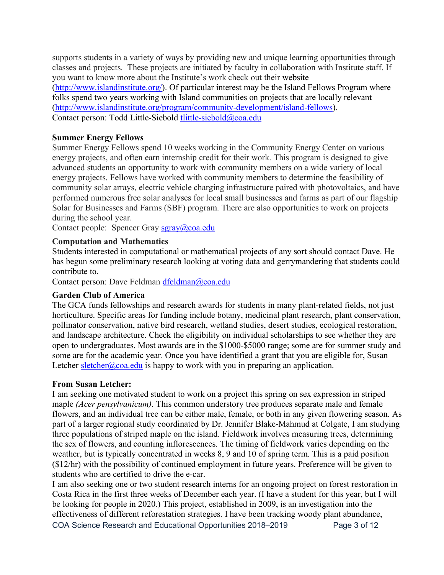supports students in a variety of ways by providing new and unique learning opportunities through classes and projects. These projects are initiated by faculty in collaboration with Institute staff. If you want to know more about the Institute's work check out their website (http://www.islandinstitute.org/). Of particular interest may be the Island Fellows Program where folks spend two years working with Island communities on projects that are locally relevant (http://www.islandinstitute.org/program/community-development/island-fellows). Contact person: Todd Little-Siebold tlittle-siebold@coa.edu

### **Summer Energy Fellows**

Summer Energy Fellows spend 10 weeks working in the Community Energy Center on various energy projects, and often earn internship credit for their work. This program is designed to give advanced students an opportunity to work with community members on a wide variety of local energy projects. Fellows have worked with community members to determine the feasibility of community solar arrays, electric vehicle charging infrastructure paired with photovoltaics, and have performed numerous free solar analyses for local small businesses and farms as part of our flagship Solar for Businesses and Farms (SBF) program. There are also opportunities to work on projects during the school year.

Contact people: Spencer Gray sgray@coa.edu

### **Computation and Mathematics**

Students interested in computational or mathematical projects of any sort should contact Dave. He has begun some preliminary research looking at voting data and gerrymandering that students could contribute to.

Contact person: Dave Feldman dfeldman@coa.edu

# **Garden Club of America**

The GCA funds fellowships and research awards for students in many plant-related fields, not just horticulture. Specific areas for funding include botany, medicinal plant research, plant conservation, pollinator conservation, native bird research, wetland studies, desert studies, ecological restoration, and landscape architecture. Check the eligibility on individual scholarships to see whether they are open to undergraduates. Most awards are in the \$1000-\$5000 range; some are for summer study and some are for the academic year. Once you have identified a grant that you are eligible for, Susan Letcher sletcher@coa.edu is happy to work with you in preparing an application.

#### **From Susan Letcher:**

I am seeking one motivated student to work on a project this spring on sex expression in striped maple *(Acer pensylvanicum).* This common understory tree produces separate male and female flowers, and an individual tree can be either male, female, or both in any given flowering season. As part of a larger regional study coordinated by Dr. Jennifer Blake-Mahmud at Colgate, I am studying three populations of striped maple on the island. Fieldwork involves measuring trees, determining the sex of flowers, and counting inflorescences. The timing of fieldwork varies depending on the weather, but is typically concentrated in weeks 8, 9 and 10 of spring term. This is a paid position (\$12/hr) with the possibility of continued employment in future years. Preference will be given to students who are certified to drive the e-car.

COA Science Research and Educational Opportunities 2018–2019 Page 3 of 12 I am also seeking one or two student research interns for an ongoing project on forest restoration in Costa Rica in the first three weeks of December each year. (I have a student for this year, but I will be looking for people in 2020.) This project, established in 2009, is an investigation into the effectiveness of different reforestation strategies. I have been tracking woody plant abundance,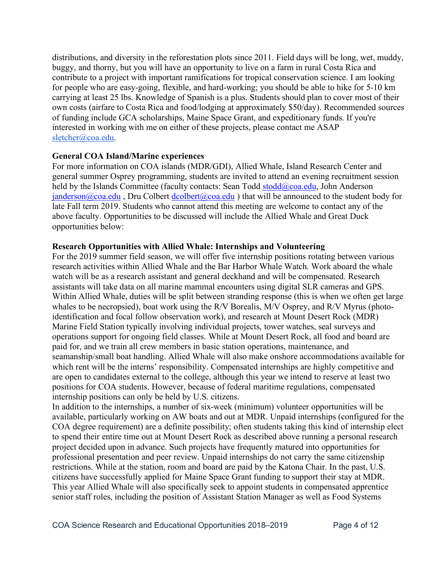distributions, and diversity in the reforestation plots since 2011. Field days will be long, wet, muddy, buggy, and thorny, but you will have an opportunity to live on a farm in rural Costa Rica and contribute to a project with important ramifications for tropical conservation science. I am looking for people who are easy-going, flexible, and hard-working; you should be able to hike for 5-10 km carrying at least 25 lbs. Knowledge of Spanish is a plus. Students should plan to cover most of their own costs (airfare to Costa Rica and food/lodging at approximately \$50/day). Recommended sources of funding include GCA scholarships, Maine Space Grant, and expeditionary funds. If you're interested in working with me on either of these projects, please contact me ASAP sletcher@coa.edu.

#### **General COA Island/Marine experiences**

For more information on COA islands (MDR/GDI), Allied Whale, Island Research Center and general summer Osprey programming, students are invited to attend an evening recruitment session held by the Islands Committee (faculty contacts: Sean Todd stodd@coa.edu, John Anderson  $j$ anderson@coa.edu, Dru Colbert dcolbert@coa.edu) that will be announced to the student body for late Fall term 2019. Students who cannot attend this meeting are welcome to contact any of the above faculty. Opportunities to be discussed will include the Allied Whale and Great Duck opportunities below:

### **Research Opportunities with Allied Whale: Internships and Volunteering**

For the 2019 summer field season, we will offer five internship positions rotating between various research activities within Allied Whale and the Bar Harbor Whale Watch. Work aboard the whale watch will be as a research assistant and general deckhand and will be compensated. Research assistants will take data on all marine mammal encounters using digital SLR cameras and GPS. Within Allied Whale, duties will be split between stranding response (this is when we often get large whales to be necropsied), boat work using the R/V Borealis, M/V Osprey, and R/V Myrus (photoidentification and focal follow observation work), and research at Mount Desert Rock (MDR) Marine Field Station typically involving individual projects, tower watches, seal surveys and operations support for ongoing field classes. While at Mount Desert Rock, all food and board are paid for, and we train all crew members in basic station operations, maintenance, and seamanship/small boat handling. Allied Whale will also make onshore accommodations available for which rent will be the interns' responsibility. Compensated internships are highly competitive and are open to candidates external to the college, although this year we intend to reserve at least two positions for COA students. However, because of federal maritime regulations, compensated internship positions can only be held by U.S. citizens.

In addition to the internships, a number of six-week (minimum) volunteer opportunities will be available, particularly working on AW boats and out at MDR. Unpaid internships (configured for the COA degree requirement) are a definite possibility; often students taking this kind of internship elect to spend their entire time out at Mount Desert Rock as described above running a personal research project decided upon in advance. Such projects have frequently matured into opportunities for professional presentation and peer review. Unpaid internships do not carry the same citizenship restrictions. While at the station, room and board are paid by the Katona Chair. In the past, U.S. citizens have successfully applied for Maine Space Grant funding to support their stay at MDR. This year Allied Whale will also specifically seek to appoint students in compensated apprentice senior staff roles, including the position of Assistant Station Manager as well as Food Systems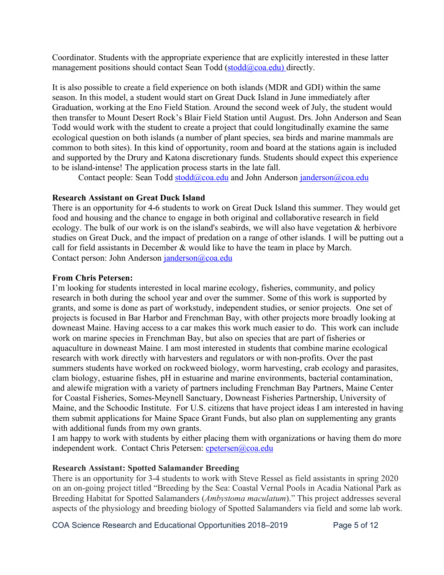Coordinator. Students with the appropriate experience that are explicitly interested in these latter management positions should contact Sean Todd  $(s$ todd $@$ coa.edu) directly.

It is also possible to create a field experience on both islands (MDR and GDI) within the same season. In this model, a student would start on Great Duck Island in June immediately after Graduation, working at the Eno Field Station. Around the second week of July, the student would then transfer to Mount Desert Rock's Blair Field Station until August. Drs. John Anderson and Sean Todd would work with the student to create a project that could longitudinally examine the same ecological question on both islands (a number of plant species, sea birds and marine mammals are common to both sites). In this kind of opportunity, room and board at the stations again is included and supported by the Drury and Katona discretionary funds. Students should expect this experience to be island-intense! The application process starts in the late fall.

Contact people: Sean Todd stodd@coa.edu and John Anderson janderson@coa.edu

# **Research Assistant on Great Duck Island**

There is an opportunity for 4-6 students to work on Great Duck Island this summer. They would get food and housing and the chance to engage in both original and collaborative research in field ecology. The bulk of our work is on the island's seabirds, we will also have vegetation & herbivore studies on Great Duck, and the impact of predation on a range of other islands. I will be putting out a call for field assistants in December & would like to have the team in place by March. Contact person: John Anderson janderson@coa.edu

# **From Chris Petersen:**

I'm looking for students interested in local marine ecology, fisheries, community, and policy research in both during the school year and over the summer. Some of this work is supported by grants, and some is done as part of workstudy, independent studies, or senior projects. One set of projects is focused in Bar Harbor and Frenchman Bay, with other projects more broadly looking at downeast Maine. Having access to a car makes this work much easier to do. This work can include work on marine species in Frenchman Bay, but also on species that are part of fisheries or aquaculture in downeast Maine. I am most interested in students that combine marine ecological research with work directly with harvesters and regulators or with non-profits. Over the past summers students have worked on rockweed biology, worm harvesting, crab ecology and parasites, clam biology, estuarine fishes, pH in estuarine and marine environments, bacterial contamination, and alewife migration with a variety of partners including Frenchman Bay Partners, Maine Center for Coastal Fisheries, Somes-Meynell Sanctuary, Downeast Fisheries Partnership, University of Maine, and the Schoodic Institute. For U.S. citizens that have project ideas I am interested in having them submit applications for Maine Space Grant Funds, but also plan on supplementing any grants with additional funds from my own grants.

I am happy to work with students by either placing them with organizations or having them do more independent work. Contact Chris Petersen: cpetersen@coa.edu

# **Research Assistant: Spotted Salamander Breeding**

There is an opportunity for 3-4 students to work with Steve Ressel as field assistants in spring 2020 on an on-going project titled "Breeding by the Sea: Coastal Vernal Pools in Acadia National Park as Breeding Habitat for Spotted Salamanders (*Ambystoma maculatum*)." This project addresses several aspects of the physiology and breeding biology of Spotted Salamanders via field and some lab work.

COA Science Research and Educational Opportunities 2018–2019 Page 5 of 12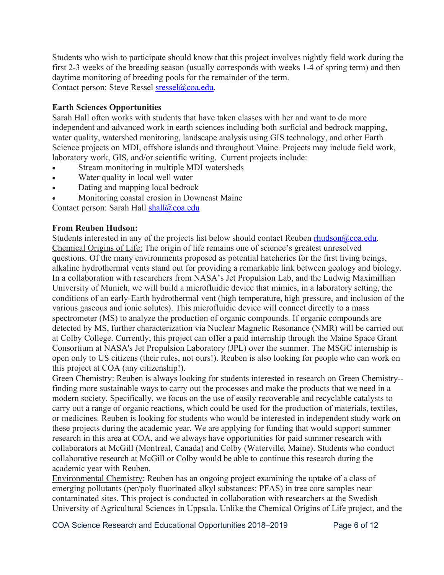Students who wish to participate should know that this project involves nightly field work during the first 2-3 weeks of the breeding season (usually corresponds with weeks 1-4 of spring term) and then daytime monitoring of breeding pools for the remainder of the term. Contact person: Steve Ressel sressel@coa.edu.

## **Earth Sciences Opportunities**

Sarah Hall often works with students that have taken classes with her and want to do more independent and advanced work in earth sciences including both surficial and bedrock mapping, water quality, watershed monitoring, landscape analysis using GIS technology, and other Earth Science projects on MDI, offshore islands and throughout Maine. Projects may include field work, laboratory work, GIS, and/or scientific writing. Current projects include:

- Stream monitoring in multiple MDI watersheds
- Water quality in local well water
- Dating and mapping local bedrock
- Monitoring coastal erosion in Downeast Maine

Contact person: Sarah Hall shall@coa.edu

### **From Reuben Hudson:**

Students interested in any of the projects list below should contact Reuben rhudson@coa.edu. Chemical Origins of Life: The origin of life remains one of science's greatest unresolved questions. Of the many environments proposed as potential hatcheries for the first living beings, alkaline hydrothermal vents stand out for providing a remarkable link between geology and biology. In a collaboration with researchers from NASA's Jet Propulsion Lab, and the Ludwig Maximillian University of Munich, we will build a microfluidic device that mimics, in a laboratory setting, the conditions of an early-Earth hydrothermal vent (high temperature, high pressure, and inclusion of the various gaseous and ionic solutes). This microfluidic device will connect directly to a mass spectrometer (MS) to analyze the production of organic compounds. If organic compounds are detected by MS, further characterization via Nuclear Magnetic Resonance (NMR) will be carried out at Colby College. Currently, this project can offer a paid internship through the Maine Space Grant Consortium at NASA's Jet Propulsion Laboratory (JPL) over the summer. The MSGC internship is open only to US citizens (their rules, not ours!). Reuben is also looking for people who can work on this project at COA (any citizenship!).

Green Chemistry: Reuben is always looking for students interested in research on Green Chemistry- finding more sustainable ways to carry out the processes and make the products that we need in a modern society. Specifically, we focus on the use of easily recoverable and recyclable catalysts to carry out a range of organic reactions, which could be used for the production of materials, textiles, or medicines. Reuben is looking for students who would be interested in independent study work on these projects during the academic year. We are applying for funding that would support summer research in this area at COA, and we always have opportunities for paid summer research with collaborators at McGill (Montreal, Canada) and Colby (Waterville, Maine). Students who conduct collaborative research at McGill or Colby would be able to continue this research during the academic year with Reuben.

Environmental Chemistry: Reuben has an ongoing project examining the uptake of a class of emerging pollutants (per/poly fluorinated alkyl substances: PFAS) in tree core samples near contaminated sites. This project is conducted in collaboration with researchers at the Swedish University of Agricultural Sciences in Uppsala. Unlike the Chemical Origins of Life project, and the

COA Science Research and Educational Opportunities 2018–2019 Page 6 of 12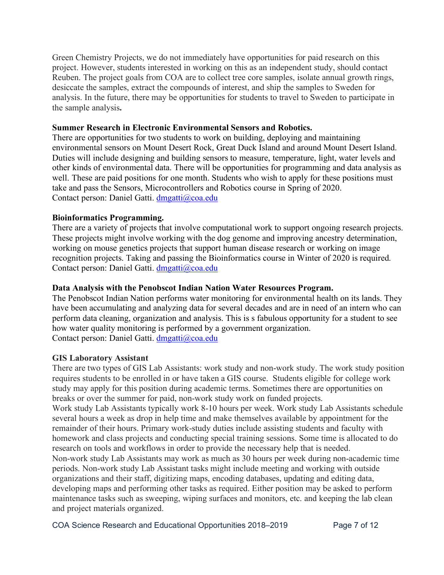Green Chemistry Projects, we do not immediately have opportunities for paid research on this project. However, students interested in working on this as an independent study, should contact Reuben. The project goals from COA are to collect tree core samples, isolate annual growth rings, desiccate the samples, extract the compounds of interest, and ship the samples to Sweden for analysis. In the future, there may be opportunities for students to travel to Sweden to participate in the sample analysis**.**

#### **Summer Research in Electronic Environmental Sensors and Robotics.**

There are opportunities for two students to work on building, deploying and maintaining environmental sensors on Mount Desert Rock, Great Duck Island and around Mount Desert Island. Duties will include designing and building sensors to measure, temperature, light, water levels and other kinds of environmental data. There will be opportunities for programming and data analysis as well. These are paid positions for one month. Students who wish to apply for these positions must take and pass the Sensors, Microcontrollers and Robotics course in Spring of 2020. Contact person: Daniel Gatti. dmgatti@coa.edu

### **Bioinformatics Programming.**

There are a variety of projects that involve computational work to support ongoing research projects. These projects might involve working with the dog genome and improving ancestry determination, working on mouse genetics projects that support human disease research or working on image recognition projects. Taking and passing the Bioinformatics course in Winter of 2020 is required. Contact person: Daniel Gatti. dmgatti@coa.edu

#### **Data Analysis with the Penobscot Indian Nation Water Resources Program.**

The Penobscot Indian Nation performs water monitoring for environmental health on its lands. They have been accumulating and analyzing data for several decades and are in need of an intern who can perform data cleaning, organization and analysis. This is s fabulous opportunity for a student to see how water quality monitoring is performed by a government organization. Contact person: Daniel Gatti. dmgatti@coa.edu

#### **GIS Laboratory Assistant**

There are two types of GIS Lab Assistants: work study and non-work study. The work study position requires students to be enrolled in or have taken a GIS course. Students eligible for college work study may apply for this position during academic terms. Sometimes there are opportunities on breaks or over the summer for paid, non-work study work on funded projects. Work study Lab Assistants typically work 8-10 hours per week. Work study Lab Assistants schedule several hours a week as drop in help time and make themselves available by appointment for the remainder of their hours. Primary work-study duties include assisting students and faculty with homework and class projects and conducting special training sessions. Some time is allocated to do research on tools and workflows in order to provide the necessary help that is needed. Non-work study Lab Assistants may work as much as 30 hours per week during non-academic time periods. Non-work study Lab Assistant tasks might include meeting and working with outside organizations and their staff, digitizing maps, encoding databases, updating and editing data, developing maps and performing other tasks as required. Either position may be asked to perform maintenance tasks such as sweeping, wiping surfaces and monitors, etc. and keeping the lab clean and project materials organized.

COA Science Research and Educational Opportunities 2018–2019 Page 7 of 12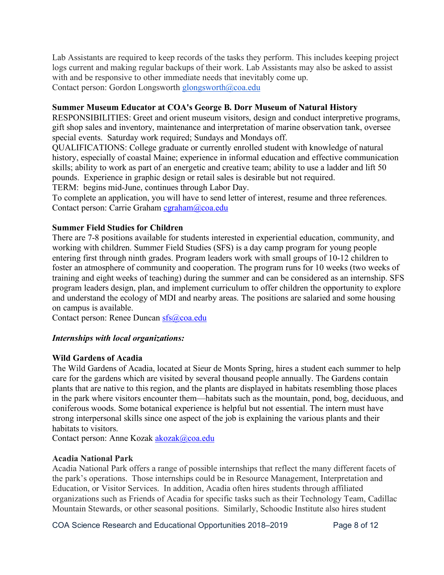Lab Assistants are required to keep records of the tasks they perform. This includes keeping project logs current and making regular backups of their work. Lab Assistants may also be asked to assist with and be responsive to other immediate needs that inevitably come up. Contact person: Gordon Longsworth glongsworth@coa.edu

### **Summer Museum Educator at COA's George B. Dorr Museum of Natural History**

RESPONSIBILITIES: Greet and orient museum visitors, design and conduct interpretive programs, gift shop sales and inventory, maintenance and interpretation of marine observation tank, oversee special events. Saturday work required; Sundays and Mondays off.

QUALIFICATIONS: College graduate or currently enrolled student with knowledge of natural history, especially of coastal Maine; experience in informal education and effective communication skills; ability to work as part of an energetic and creative team; ability to use a ladder and lift 50 pounds. Experience in graphic design or retail sales is desirable but not required.

TERM: begins mid-June, continues through Labor Day.

To complete an application, you will have to send letter of interest, resume and three references. Contact person: Carrie Graham cgraham@coa.edu

### **Summer Field Studies for Children**

There are 7-8 positions available for students interested in experiential education, community, and working with children. Summer Field Studies (SFS) is a day camp program for young people entering first through ninth grades. Program leaders work with small groups of 10-12 children to foster an atmosphere of community and cooperation. The program runs for 10 weeks (two weeks of training and eight weeks of teaching) during the summer and can be considered as an internship. SFS program leaders design, plan, and implement curriculum to offer children the opportunity to explore and understand the ecology of MDI and nearby areas. The positions are salaried and some housing on campus is available.

Contact person: Renee Duncan sfs@coa.edu

# *Internships with local organizations:*

#### **Wild Gardens of Acadia**

The Wild Gardens of Acadia, located at Sieur de Monts Spring, hires a student each summer to help care for the gardens which are visited by several thousand people annually. The Gardens contain plants that are native to this region, and the plants are displayed in habitats resembling those places in the park where visitors encounter them—habitats such as the mountain, pond, bog, deciduous, and coniferous woods. Some botanical experience is helpful but not essential. The intern must have strong interpersonal skills since one aspect of the job is explaining the various plants and their habitats to visitors.

Contact person: Anne Kozak akozak@coa.edu

#### **Acadia National Park**

Acadia National Park offers a range of possible internships that reflect the many different facets of the park's operations. Those internships could be in Resource Management, Interpretation and Education, or Visitor Services. In addition, Acadia often hires students through affiliated organizations such as Friends of Acadia for specific tasks such as their Technology Team, Cadillac Mountain Stewards, or other seasonal positions. Similarly, Schoodic Institute also hires student

COA Science Research and Educational Opportunities 2018–2019 Page 8 of 12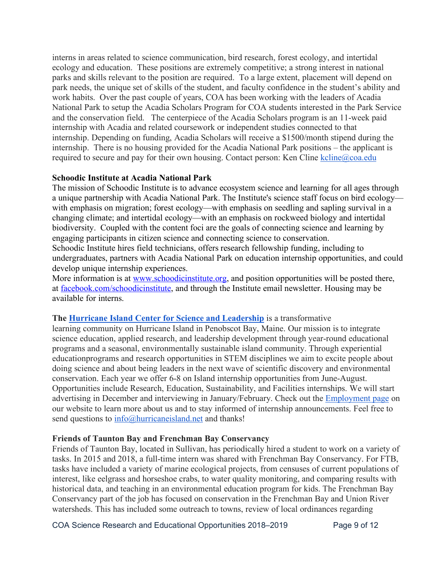interns in areas related to science communication, bird research, forest ecology, and intertidal ecology and education. These positions are extremely competitive; a strong interest in national parks and skills relevant to the position are required. To a large extent, placement will depend on park needs, the unique set of skills of the student, and faculty confidence in the student's ability and work habits. Over the past couple of years, COA has been working with the leaders of Acadia National Park to setup the Acadia Scholars Program for COA students interested in the Park Service and the conservation field. The centerpiece of the Acadia Scholars program is an 11-week paid internship with Acadia and related coursework or independent studies connected to that internship. Depending on funding, Acadia Scholars will receive a \$1500/month stipend during the internship. There is no housing provided for the Acadia National Park positions – the applicant is required to secure and pay for their own housing. Contact person: Ken Cline kcline@coa.edu

### **Schoodic Institute at Acadia National Park**

The mission of Schoodic Institute is to advance ecosystem science and learning for all ages through a unique partnership with Acadia National Park. The Institute's science staff focus on bird ecology with emphasis on migration; forest ecology—with emphasis on seedling and sapling survival in a changing climate; and intertidal ecology—with an emphasis on rockweed biology and intertidal biodiversity. Coupled with the content foci are the goals of connecting science and learning by engaging participants in citizen science and connecting science to conservation. Schoodic Institute hires field technicians, offers research fellowship funding, including to undergraduates, partners with Acadia National Park on education internship opportunities, and could develop unique internship experiences.

More information is at www.schoodicinstitute.org, and position opportunities will be posted there, at facebook.com/schoodicinstitute, and through the Institute email newsletter. Housing may be available for interns.

#### **The Hurricane Island Center for Science and Leadership** is a transformative

learning community on Hurricane Island in Penobscot Bay, Maine. Our mission is to integrate science education, applied research, and leadership development through year-round educational programs and a seasonal, environmentally sustainable island community. Through experiential educationprograms and research opportunities in STEM disciplines we aim to excite people about doing science and about being leaders in the next wave of scientific discovery and environmental conservation. Each year we offer 6-8 on Island internship opportunities from June-August. Opportunities include Research, Education, Sustainability, and Facilities internships. We will start advertising in December and interviewing in January/February. Check out the Employment page on our website to learn more about us and to stay informed of internship announcements. Feel free to send questions to  $\frac{info(@hurricaneisland.net}{info(@hurricaneisland.net})$  and thanks!

#### **Friends of Taunton Bay and Frenchman Bay Conservancy**

Friends of Taunton Bay, located in Sullivan, has periodically hired a student to work on a variety of tasks. In 2015 and 2018, a full-time intern was shared with Frenchman Bay Conservancy. For FTB, tasks have included a variety of marine ecological projects, from censuses of current populations of interest, like eelgrass and horseshoe crabs, to water quality monitoring, and comparing results with historical data, and teaching in an environmental education program for kids. The Frenchman Bay Conservancy part of the job has focused on conservation in the Frenchman Bay and Union River watersheds. This has included some outreach to towns, review of local ordinances regarding

COA Science Research and Educational Opportunities 2018–2019 Page 9 of 12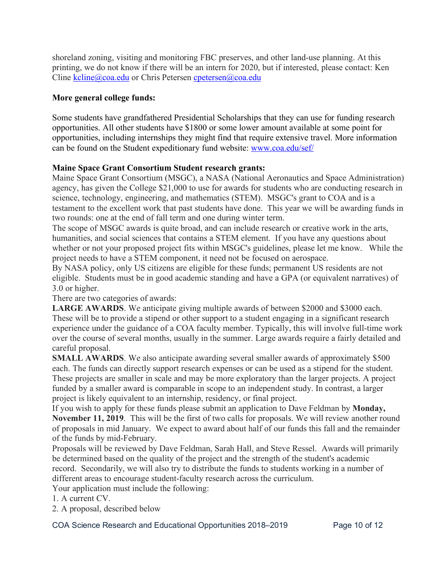shoreland zoning, visiting and monitoring FBC preserves, and other land-use planning. At this printing, we do not know if there will be an intern for 2020, but if interested, please contact: Ken Cline kcline@coa.edu or Chris Petersen cpetersen@coa.edu

# **More general college funds:**

Some students have grandfathered Presidential Scholarships that they can use for funding research opportunities. All other students have \$1800 or some lower amount available at some point for opportunities, including internships they might find that require extensive travel. More information can be found on the Student expeditionary fund website: www.coa.edu/sef/

# **Maine Space Grant Consortium Student research grants:**

Maine Space Grant Consortium (MSGC), a NASA (National Aeronautics and Space Administration) agency, has given the College \$21,000 to use for awards for students who are conducting research in science, technology, engineering, and mathematics (STEM). MSGC's grant to COA and is a testament to the excellent work that past students have done. This year we will be awarding funds in two rounds: one at the end of fall term and one during winter term.

The scope of MSGC awards is quite broad, and can include research or creative work in the arts, humanities, and social sciences that contains a STEM element. If you have any questions about whether or not your proposed project fits within MSGC's guidelines, please let me know. While the project needs to have a STEM component, it need not be focused on aerospace.

By NASA policy, only US citizens are eligible for these funds; permanent US residents are not eligible. Students must be in good academic standing and have a GPA (or equivalent narratives) of 3.0 or higher.

There are two categories of awards:

**LARGE AWARDS**. We anticipate giving multiple awards of between \$2000 and \$3000 each. These will be to provide a stipend or other support to a student engaging in a significant research experience under the guidance of a COA faculty member. Typically, this will involve full-time work over the course of several months, usually in the summer. Large awards require a fairly detailed and careful proposal.

**SMALL AWARDS**. We also anticipate awarding several smaller awards of approximately \$500 each. The funds can directly support research expenses or can be used as a stipend for the student. These projects are smaller in scale and may be more exploratory than the larger projects. A project funded by a smaller award is comparable in scope to an independent study. In contrast, a larger project is likely equivalent to an internship, residency, or final project.

If you wish to apply for these funds please submit an application to Dave Feldman by **Monday, November 11, 2019**. This will be the first of two calls for proposals. We will review another round of proposals in mid January. We expect to award about half of our funds this fall and the remainder of the funds by mid-February.

Proposals will be reviewed by Dave Feldman, Sarah Hall, and Steve Ressel. Awards will primarily be determined based on the quality of the project and the strength of the student's academic record. Secondarily, we will also try to distribute the funds to students working in a number of different areas to encourage student-faculty research across the curriculum. Your application must include the following:

1. A current CV.

2. A proposal, described below

COA Science Research and Educational Opportunities 2018–2019 Page 10 of 12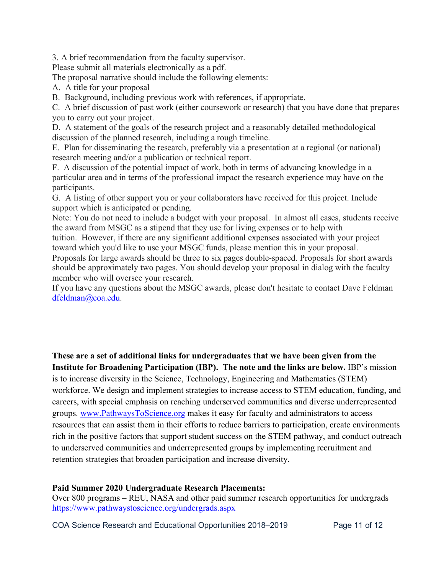3. A brief recommendation from the faculty supervisor.

Please submit all materials electronically as a pdf.

The proposal narrative should include the following elements:

A. A title for your proposal

B. Background, including previous work with references, if appropriate.

C. A brief discussion of past work (either coursework or research) that you have done that prepares you to carry out your project.

D. A statement of the goals of the research project and a reasonably detailed methodological discussion of the planned research, including a rough timeline.

E. Plan for disseminating the research, preferably via a presentation at a regional (or national) research meeting and/or a publication or technical report.

F. A discussion of the potential impact of work, both in terms of advancing knowledge in a particular area and in terms of the professional impact the research experience may have on the participants.

G. A listing of other support you or your collaborators have received for this project. Include support which is anticipated or pending.

Note: You do not need to include a budget with your proposal. In almost all cases, students receive the award from MSGC as a stipend that they use for living expenses or to help with

tuition. However, if there are any significant additional expenses associated with your project toward which you'd like to use your MSGC funds, please mention this in your proposal.

Proposals for large awards should be three to six pages double-spaced. Proposals for short awards should be approximately two pages. You should develop your proposal in dialog with the faculty member who will oversee your research.

If you have any questions about the MSGC awards, please don't hesitate to contact Dave Feldman dfeldman@coa.edu.

**These are a set of additional links for undergraduates that we have been given from the Institute for Broadening Participation (IBP). The note and the links are below.** IBP's mission is to increase diversity in the Science, Technology, Engineering and Mathematics (STEM) workforce. We design and implement strategies to increase access to STEM education, funding, and careers, with special emphasis on reaching underserved communities and diverse underrepresented groups. www.PathwaysToScience.org makes it easy for faculty and administrators to access resources that can assist them in their efforts to reduce barriers to participation, create environments rich in the positive factors that support student success on the STEM pathway, and conduct outreach to underserved communities and underrepresented groups by implementing recruitment and retention strategies that broaden participation and increase diversity.

# **Paid Summer 2020 Undergraduate Research Placements:**

Over 800 programs – REU, NASA and other paid summer research opportunities for undergrads https://www.pathwaystoscience.org/undergrads.aspx

COA Science Research and Educational Opportunities 2018–2019 Page 11 of 12